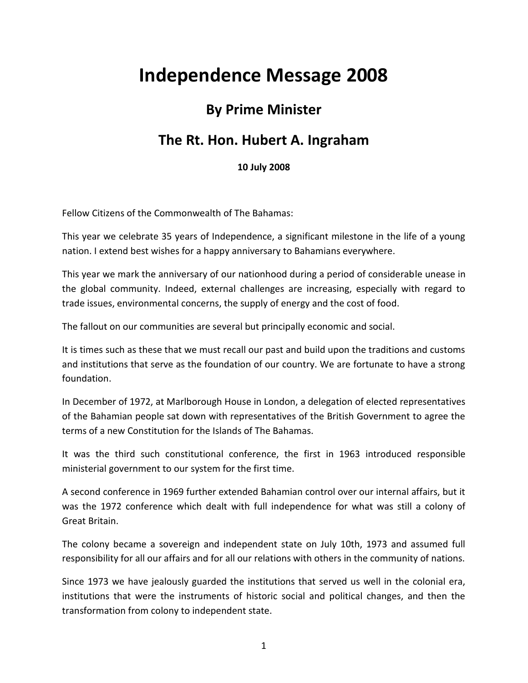## **Independence Message 2008**

## **By Prime Minister**

## **The Rt. Hon. Hubert A. Ingraham**

**10 July 2008**

Fellow Citizens of the Commonwealth of The Bahamas:

This year we celebrate 35 years of Independence, a significant milestone in the life of a young nation. I extend best wishes for a happy anniversary to Bahamians everywhere.

This year we mark the anniversary of our nationhood during a period of considerable unease in the global community. Indeed, external challenges are increasing, especially with regard to trade issues, environmental concerns, the supply of energy and the cost of food.

The fallout on our communities are several but principally economic and social.

It is times such as these that we must recall our past and build upon the traditions and customs and institutions that serve as the foundation of our country. We are fortunate to have a strong foundation.

In December of 1972, at Marlborough House in London, a delegation of elected representatives of the Bahamian people sat down with representatives of the British Government to agree the terms of a new Constitution for the Islands of The Bahamas.

It was the third such constitutional conference, the first in 1963 introduced responsible ministerial government to our system for the first time.

A second conference in 1969 further extended Bahamian control over our internal affairs, but it was the 1972 conference which dealt with full independence for what was still a colony of Great Britain.

The colony became a sovereign and independent state on July 10th, 1973 and assumed full responsibility for all our affairs and for all our relations with others in the community of nations.

Since 1973 we have jealously guarded the institutions that served us well in the colonial era, institutions that were the instruments of historic social and political changes, and then the transformation from colony to independent state.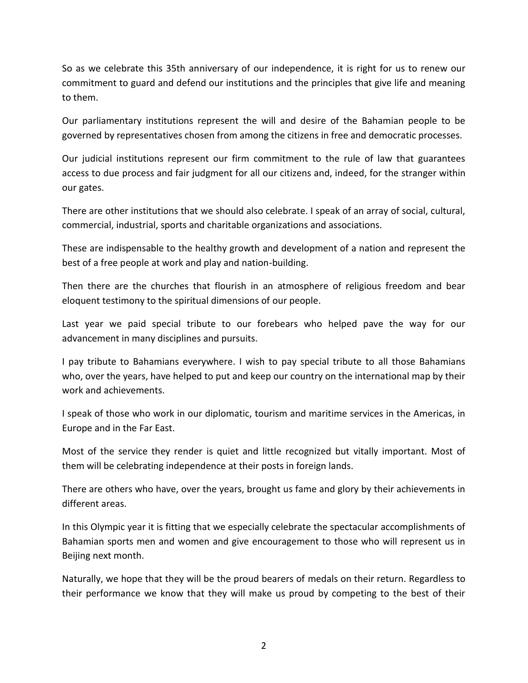So as we celebrate this 35th anniversary of our independence, it is right for us to renew our commitment to guard and defend our institutions and the principles that give life and meaning to them.

Our parliamentary institutions represent the will and desire of the Bahamian people to be governed by representatives chosen from among the citizens in free and democratic processes.

Our judicial institutions represent our firm commitment to the rule of law that guarantees access to due process and fair judgment for all our citizens and, indeed, for the stranger within our gates.

There are other institutions that we should also celebrate. I speak of an array of social, cultural, commercial, industrial, sports and charitable organizations and associations.

These are indispensable to the healthy growth and development of a nation and represent the best of a free people at work and play and nation-building.

Then there are the churches that flourish in an atmosphere of religious freedom and bear eloquent testimony to the spiritual dimensions of our people.

Last year we paid special tribute to our forebears who helped pave the way for our advancement in many disciplines and pursuits.

I pay tribute to Bahamians everywhere. I wish to pay special tribute to all those Bahamians who, over the years, have helped to put and keep our country on the international map by their work and achievements.

I speak of those who work in our diplomatic, tourism and maritime services in the Americas, in Europe and in the Far East.

Most of the service they render is quiet and little recognized but vitally important. Most of them will be celebrating independence at their posts in foreign lands.

There are others who have, over the years, brought us fame and glory by their achievements in different areas.

In this Olympic year it is fitting that we especially celebrate the spectacular accomplishments of Bahamian sports men and women and give encouragement to those who will represent us in Beijing next month.

Naturally, we hope that they will be the proud bearers of medals on their return. Regardless to their performance we know that they will make us proud by competing to the best of their